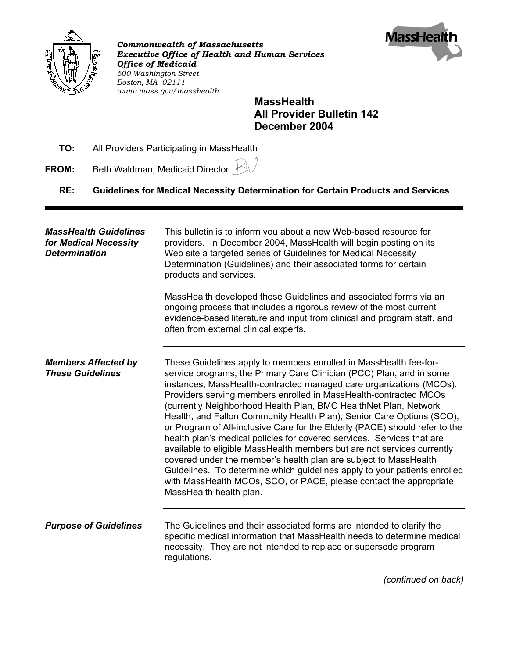

*Commonwealth of Massachusetts Executive Office of Health and Human Services Office of Medicaid 600 Washington Street Boston, MA 02111 www.mass.gov/masshealth*



## **MassHealth All Provider Bulletin 142 December 2004**

- **TO:** All Providers Participating in MassHealth
- **FROM:** Beth Waldman, Medicaid Director  $\cancel{\triangle}$ 
	- **RE: Guidelines for Medical Necessity Determination for Certain Products and Services**

| <b>MassHealth Guidelines</b><br>for Medical Necessity<br><b>Determination</b> | This bulletin is to inform you about a new Web-based resource for<br>providers. In December 2004, MassHealth will begin posting on its<br>Web site a targeted series of Guidelines for Medical Necessity<br>Determination (Guidelines) and their associated forms for certain<br>products and services.<br>MassHealth developed these Guidelines and associated forms via an                                                                                                                                                                                                                                                                                                                                                                                                                                                                                                                                            |
|-------------------------------------------------------------------------------|-------------------------------------------------------------------------------------------------------------------------------------------------------------------------------------------------------------------------------------------------------------------------------------------------------------------------------------------------------------------------------------------------------------------------------------------------------------------------------------------------------------------------------------------------------------------------------------------------------------------------------------------------------------------------------------------------------------------------------------------------------------------------------------------------------------------------------------------------------------------------------------------------------------------------|
|                                                                               | ongoing process that includes a rigorous review of the most current<br>evidence-based literature and input from clinical and program staff, and<br>often from external clinical experts.                                                                                                                                                                                                                                                                                                                                                                                                                                                                                                                                                                                                                                                                                                                                |
| <b>Members Affected by</b><br><b>These Guidelines</b>                         | These Guidelines apply to members enrolled in MassHealth fee-for-<br>service programs, the Primary Care Clinician (PCC) Plan, and in some<br>instances, MassHealth-contracted managed care organizations (MCOs).<br>Providers serving members enrolled in MassHealth-contracted MCOs<br>(currently Neighborhood Health Plan, BMC HealthNet Plan, Network<br>Health, and Fallon Community Health Plan), Senior Care Options (SCO),<br>or Program of All-inclusive Care for the Elderly (PACE) should refer to the<br>health plan's medical policies for covered services. Services that are<br>available to eligible MassHealth members but are not services currently<br>covered under the member's health plan are subject to MassHealth<br>Guidelines. To determine which guidelines apply to your patients enrolled<br>with MassHealth MCOs, SCO, or PACE, please contact the appropriate<br>MassHealth health plan. |
| <b>Purpose of Guidelines</b>                                                  | The Guidelines and their associated forms are intended to clarify the<br>specific medical information that MassHealth needs to determine medical<br>necessity. They are not intended to replace or supersede program<br>regulations.                                                                                                                                                                                                                                                                                                                                                                                                                                                                                                                                                                                                                                                                                    |
|                                                                               | (continued on back)                                                                                                                                                                                                                                                                                                                                                                                                                                                                                                                                                                                                                                                                                                                                                                                                                                                                                                     |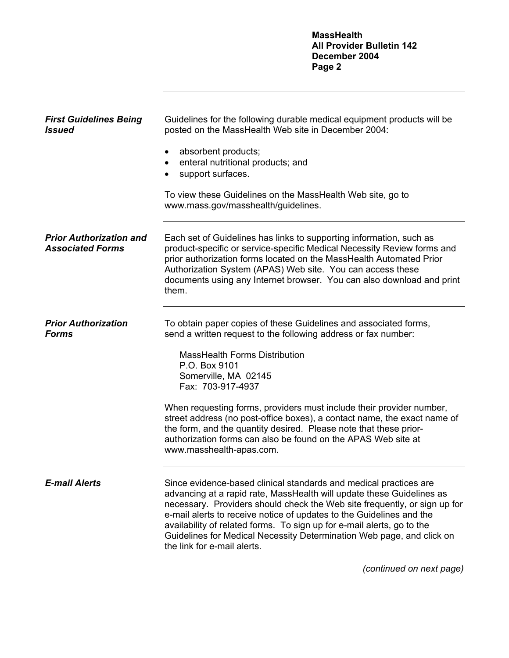**MassHealth All Provider Bulletin 142 December 2004 Page 2**

| <b>First Guidelines Being</b><br><b>Issued</b>            | Guidelines for the following durable medical equipment products will be<br>posted on the MassHealth Web site in December 2004:<br>absorbent products;<br>enteral nutritional products; and<br>support surfaces.<br>To view these Guidelines on the MassHealth Web site, go to<br>www.mass.gov/masshealth/guidelines.                                                                                                                                                                                                                                           |
|-----------------------------------------------------------|----------------------------------------------------------------------------------------------------------------------------------------------------------------------------------------------------------------------------------------------------------------------------------------------------------------------------------------------------------------------------------------------------------------------------------------------------------------------------------------------------------------------------------------------------------------|
| <b>Prior Authorization and</b><br><b>Associated Forms</b> | Each set of Guidelines has links to supporting information, such as<br>product-specific or service-specific Medical Necessity Review forms and<br>prior authorization forms located on the MassHealth Automated Prior<br>Authorization System (APAS) Web site. You can access these<br>documents using any Internet browser. You can also download and print<br>them.                                                                                                                                                                                          |
| <b>Prior Authorization</b><br><b>Forms</b>                | To obtain paper copies of these Guidelines and associated forms,<br>send a written request to the following address or fax number:<br><b>MassHealth Forms Distribution</b><br>P.O. Box 9101<br>Somerville, MA 02145<br>Fax: 703-917-4937<br>When requesting forms, providers must include their provider number,<br>street address (no post-office boxes), a contact name, the exact name of<br>the form, and the quantity desired. Please note that these prior-<br>authorization forms can also be found on the APAS Web site at<br>www.masshealth-apas.com. |
| <b>E-mail Alerts</b>                                      | Since evidence-based clinical standards and medical practices are<br>advancing at a rapid rate, MassHealth will update these Guidelines as<br>necessary. Providers should check the Web site frequently, or sign up for<br>e-mail alerts to receive notice of updates to the Guidelines and the<br>availability of related forms. To sign up for e-mail alerts, go to the<br>Guidelines for Medical Necessity Determination Web page, and click on<br>the link for e-mail alerts.                                                                              |

*(continued on next page)*